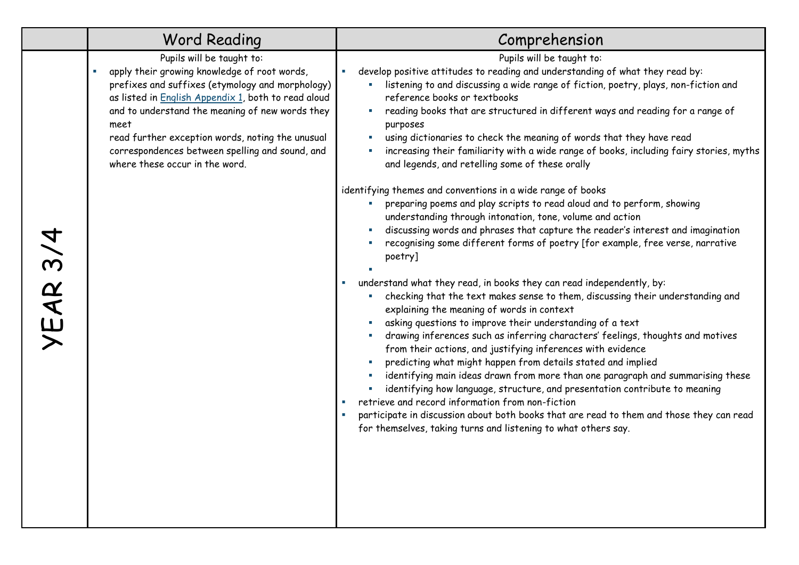|          | <b>Word Reading</b>                                                                                                                                                                                                                                                                                                                                                                      | Comprehension                                                                                                                                                                                                                                                                                                                                                                                                                                                                                                                                                                                                                                                                                                                                                                                                                                                                                                                                                                                                                                                                                                                                                                                  |  |  |
|----------|------------------------------------------------------------------------------------------------------------------------------------------------------------------------------------------------------------------------------------------------------------------------------------------------------------------------------------------------------------------------------------------|------------------------------------------------------------------------------------------------------------------------------------------------------------------------------------------------------------------------------------------------------------------------------------------------------------------------------------------------------------------------------------------------------------------------------------------------------------------------------------------------------------------------------------------------------------------------------------------------------------------------------------------------------------------------------------------------------------------------------------------------------------------------------------------------------------------------------------------------------------------------------------------------------------------------------------------------------------------------------------------------------------------------------------------------------------------------------------------------------------------------------------------------------------------------------------------------|--|--|
|          | Pupils will be taught to:<br>apply their growing knowledge of root words,<br>prefixes and suffixes (etymology and morphology)<br>as listed in English Appendix 1, both to read aloud<br>and to understand the meaning of new words they<br>meet<br>read further exception words, noting the unusual<br>correspondences between spelling and sound, and<br>where these occur in the word. | Pupils will be taught to:<br>develop positive attitudes to reading and understanding of what they read by:<br>listening to and discussing a wide range of fiction, poetry, plays, non-fiction and<br>reference books or textbooks<br>reading books that are structured in different ways and reading for a range of<br>purposes<br>using dictionaries to check the meaning of words that they have read<br>increasing their familiarity with a wide range of books, including fairy stories, myths<br>and legends, and retelling some of these orally<br>identifying themes and conventions in a wide range of books                                                                                                                                                                                                                                                                                                                                                                                                                                                                                                                                                                           |  |  |
| YEAR 3/4 |                                                                                                                                                                                                                                                                                                                                                                                          | preparing poems and play scripts to read aloud and to perform, showing<br>understanding through intonation, tone, volume and action<br>discussing words and phrases that capture the reader's interest and imagination<br>recognising some different forms of poetry [for example, free verse, narrative<br>poetry]<br>understand what they read, in books they can read independently, by:<br>checking that the text makes sense to them, discussing their understanding and<br>explaining the meaning of words in context<br>asking questions to improve their understanding of a text<br>drawing inferences such as inferring characters' feelings, thoughts and motives<br>from their actions, and justifying inferences with evidence<br>predicting what might happen from details stated and implied<br>identifying main ideas drawn from more than one paragraph and summarising these<br>identifying how language, structure, and presentation contribute to meaning<br>retrieve and record information from non-fiction<br>participate in discussion about both books that are read to them and those they can read<br>for themselves, taking turns and listening to what others say. |  |  |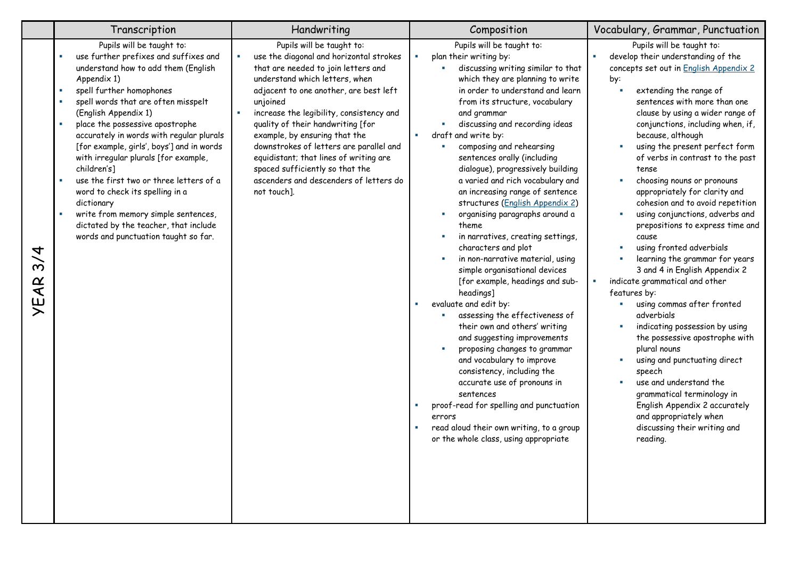|                                                                  | Transcription                                                                                                                                                                                                                                                                                                                                                                                                                                                                                                                                                                                                                                                                        | Handwriting                                                                                                                                                                                                                                                                                                                                                                                                                                                                                            | Composition                                                                                                                                                                                                                                                                                                                                                                                                                                                                                                                                                                                                                                                                                                                                                                                                                                                                                                                                                                                                                                                                                                                                  | Vocabulary, Grammar, Punctuation                                                                                                                                                                                                                                                                                                                                                                                                                                                                                                                                                                                                                                                                                                                                                                                                                                                                                                                                                                                                                         |  |
|------------------------------------------------------------------|--------------------------------------------------------------------------------------------------------------------------------------------------------------------------------------------------------------------------------------------------------------------------------------------------------------------------------------------------------------------------------------------------------------------------------------------------------------------------------------------------------------------------------------------------------------------------------------------------------------------------------------------------------------------------------------|--------------------------------------------------------------------------------------------------------------------------------------------------------------------------------------------------------------------------------------------------------------------------------------------------------------------------------------------------------------------------------------------------------------------------------------------------------------------------------------------------------|----------------------------------------------------------------------------------------------------------------------------------------------------------------------------------------------------------------------------------------------------------------------------------------------------------------------------------------------------------------------------------------------------------------------------------------------------------------------------------------------------------------------------------------------------------------------------------------------------------------------------------------------------------------------------------------------------------------------------------------------------------------------------------------------------------------------------------------------------------------------------------------------------------------------------------------------------------------------------------------------------------------------------------------------------------------------------------------------------------------------------------------------|----------------------------------------------------------------------------------------------------------------------------------------------------------------------------------------------------------------------------------------------------------------------------------------------------------------------------------------------------------------------------------------------------------------------------------------------------------------------------------------------------------------------------------------------------------------------------------------------------------------------------------------------------------------------------------------------------------------------------------------------------------------------------------------------------------------------------------------------------------------------------------------------------------------------------------------------------------------------------------------------------------------------------------------------------------|--|
| 4<br>$\overline{\mathbf{c}}$<br>$\mathbf{A}^{\mathbf{C}}$<br>نبا | Pupils will be taught to:<br>use further prefixes and suffixes and<br>understand how to add them (English<br>Appendix 1)<br>spell further homophones<br>٠<br>spell words that are often misspelt<br>$\mathbf{r}$<br>(English Appendix 1)<br>place the possessive apostrophe<br>×<br>accurately in words with regular plurals<br>[for example, girls', boys'] and in words<br>with irregular plurals [for example,<br>children's]<br>use the first two or three letters of a<br>$\mathbf{u}$<br>word to check its spelling in a<br>dictionary<br>write from memory simple sentences,<br>$\mathbf{u}$<br>dictated by the teacher, that include<br>words and punctuation taught so far. | Pupils will be taught to:<br>use the diagonal and horizontal strokes<br>that are needed to join letters and<br>understand which letters, when<br>adjacent to one another, are best left<br>unjoined<br>increase the legibility, consistency and<br>quality of their handwriting [for<br>example, by ensuring that the<br>downstrokes of letters are parallel and<br>equidistant; that lines of writing are<br>spaced sufficiently so that the<br>ascenders and descenders of letters do<br>not touch]. | Pupils will be taught to:<br>plan their writing by:<br>discussing writing similar to that<br>which they are planning to write<br>in order to understand and learn<br>from its structure, vocabulary<br>and grammar<br>discussing and recording ideas<br>draft and write by:<br>composing and rehearsing<br>٠<br>sentences orally (including<br>dialogue), progressively building<br>a varied and rich vocabulary and<br>an increasing range of sentence<br>structures (English Appendix 2)<br>organising paragraphs around a<br>×<br>theme<br>in narratives, creating settings,<br>characters and plot<br>in non-narrative material, using<br>simple organisational devices<br>[for example, headings and sub-<br>headings]<br>evaluate and edit by:<br>×<br>assessing the effectiveness of<br>their own and others' writing<br>and suggesting improvements<br>proposing changes to grammar<br>and vocabulary to improve<br>consistency, including the<br>accurate use of pronouns in<br>sentences<br>proof-read for spelling and punctuation<br>errors<br>read aloud their own writing, to a group<br>or the whole class, using appropriate | Pupils will be taught to:<br>develop their understanding of the<br>concepts set out in English Appendix 2<br>by:<br>extending the range of<br>sentences with more than one<br>clause by using a wider range of<br>conjunctions, including when, if,<br>because, although<br>using the present perfect form<br>٠<br>of verbs in contrast to the past<br>tense<br>choosing nouns or pronouns<br>٠<br>appropriately for clarity and<br>cohesion and to avoid repetition<br>using conjunctions, adverbs and<br>×<br>prepositions to express time and<br>cause<br>using fronted adverbials<br>learning the grammar for years<br>3 and 4 in English Appendix 2<br>indicate grammatical and other<br>features by:<br>using commas after fronted<br>adverbials<br>indicating possession by using<br>the possessive apostrophe with<br>plural nouns<br>using and punctuating direct<br>speech<br>use and understand the<br>٠<br>grammatical terminology in<br>English Appendix 2 accurately<br>and appropriately when<br>discussing their writing and<br>reading. |  |